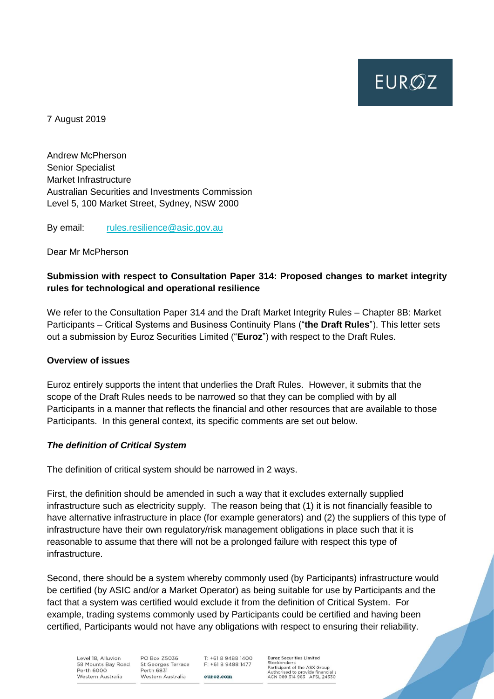**EURØZ** 

7 August 2019

Andrew McPherson Senior Specialist Market Infrastructure Australian Securities and Investments Commission Level 5, 100 Market Street, Sydney, NSW 2000

By email: [rules.resilience@asic.gov.au](mailto:rules.resilience@asic.gov.au)

Dear Mr McPherson

## **Submission with respect to Consultation Paper 314: Proposed changes to market integrity rules for technological and operational resilience**

We refer to the Consultation Paper 314 and the Draft Market Integrity Rules – Chapter 8B: Market Participants – Critical Systems and Business Continuity Plans ("**the Draft Rules**"). This letter sets out a submission by Euroz Securities Limited ("**Euroz**") with respect to the Draft Rules.

#### **Overview of issues**

Euroz entirely supports the intent that underlies the Draft Rules. However, it submits that the scope of the Draft Rules needs to be narrowed so that they can be complied with by all Participants in a manner that reflects the financial and other resources that are available to those Participants. In this general context, its specific comments are set out below.

#### *The definition of Critical System*

The definition of critical system should be narrowed in 2 ways.

First, the definition should be amended in such a way that it excludes externally supplied infrastructure such as electricity supply. The reason being that (1) it is not financially feasible to have alternative infrastructure in place (for example generators) and (2) the suppliers of this type of infrastructure have their own regulatory/risk management obligations in place such that it is reasonable to assume that there will not be a prolonged failure with respect this type of infrastructure.

Second, there should be a system whereby commonly used (by Participants) infrastructure would be certified (by ASIC and/or a Market Operator) as being suitable for use by Participants and the fact that a system was certified would exclude it from the definition of Critical System. For example, trading systems commonly used by Participants could be certified and having been certified, Participants would not have any obligations with respect to ensuring their reliability.

Level 18, Alluvion 58 Mounts Bay Road Perth 6000 Western Australia

PO Box Z5036 St Georges Terrace Perth 6831 Western Australia

T: +61 8 9488 1400 F: +61 8 9488 1477 euroz.com

**Euroz Securities Limited** Stockbrokers<br>Participant of the ASX Group Authorised to provide financial s<br>ACN 089 314 983 AFSL 24330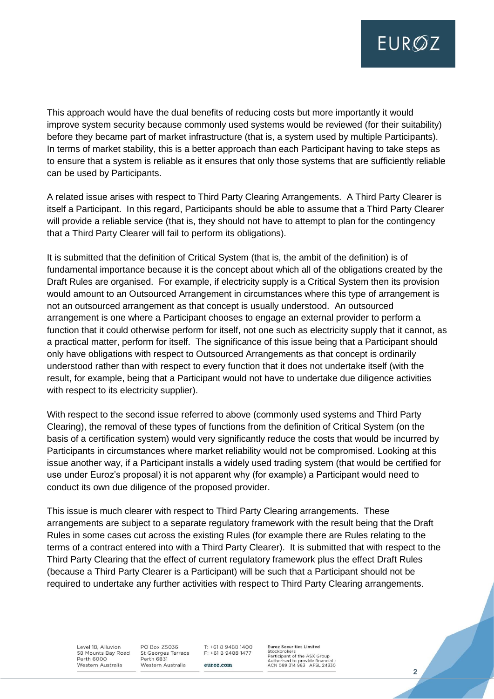**EUROZ** 

This approach would have the dual benefits of reducing costs but more importantly it would improve system security because commonly used systems would be reviewed (for their suitability) before they became part of market infrastructure (that is, a system used by multiple Participants). In terms of market stability, this is a better approach than each Participant having to take steps as to ensure that a system is reliable as it ensures that only those systems that are sufficiently reliable can be used by Participants.

A related issue arises with respect to Third Party Clearing Arrangements. A Third Party Clearer is itself a Participant. In this regard, Participants should be able to assume that a Third Party Clearer will provide a reliable service (that is, they should not have to attempt to plan for the contingency that a Third Party Clearer will fail to perform its obligations).

It is submitted that the definition of Critical System (that is, the ambit of the definition) is of fundamental importance because it is the concept about which all of the obligations created by the Draft Rules are organised. For example, if electricity supply is a Critical System then its provision would amount to an Outsourced Arrangement in circumstances where this type of arrangement is not an outsourced arrangement as that concept is usually understood. An outsourced arrangement is one where a Participant chooses to engage an external provider to perform a function that it could otherwise perform for itself, not one such as electricity supply that it cannot, as a practical matter, perform for itself. The significance of this issue being that a Participant should only have obligations with respect to Outsourced Arrangements as that concept is ordinarily understood rather than with respect to every function that it does not undertake itself (with the result, for example, being that a Participant would not have to undertake due diligence activities with respect to its electricity supplier).

With respect to the second issue referred to above (commonly used systems and Third Party Clearing), the removal of these types of functions from the definition of Critical System (on the basis of a certification system) would very significantly reduce the costs that would be incurred by Participants in circumstances where market reliability would not be compromised. Looking at this issue another way, if a Participant installs a widely used trading system (that would be certified for use under Euroz's proposal) it is not apparent why (for example) a Participant would need to conduct its own due diligence of the proposed provider.

This issue is much clearer with respect to Third Party Clearing arrangements. These arrangements are subject to a separate regulatory framework with the result being that the Draft Rules in some cases cut across the existing Rules (for example there are Rules relating to the terms of a contract entered into with a Third Party Clearer). It is submitted that with respect to the Third Party Clearing that the effect of current regulatory framework plus the effect Draft Rules (because a Third Party Clearer is a Participant) will be such that a Participant should not be required to undertake any further activities with respect to Third Party Clearing arrangements.

Level 18 Alluvion 58 Mounts Bay Road Perth 6000 Western Australia

**PO Box 75036** St Georges Terrace Perth 6831 Western Australia

 $T: +61894881400$ F: +61 8 9488 1477 euroz.com

**Euroz Securities Limited** Stockbrokers<br>Participant of the ASX Group Authorised to provide financial s<br>ACN 089 314 983 AFSL 24330

**2**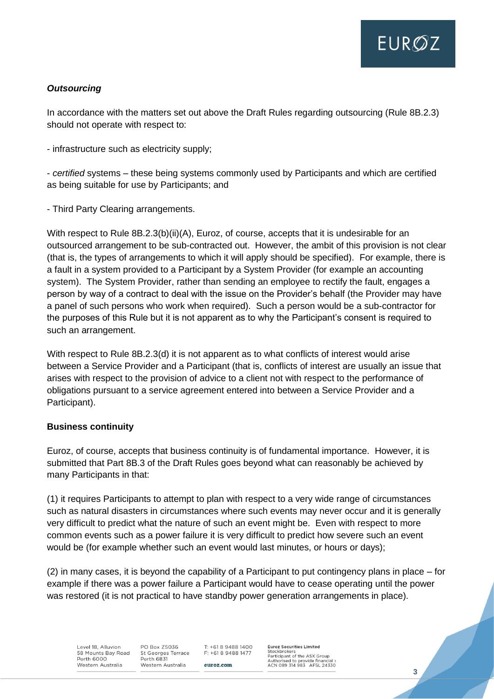# *Outsourcing*

In accordance with the matters set out above the Draft Rules regarding outsourcing (Rule 8B.2.3) should not operate with respect to:

- infrastructure such as electricity supply;

- *certified* systems – these being systems commonly used by Participants and which are certified as being suitable for use by Participants; and

- Third Party Clearing arrangements.

With respect to Rule 8B.2.3(b)(ii)(A), Euroz, of course, accepts that it is undesirable for an outsourced arrangement to be sub-contracted out. However, the ambit of this provision is not clear (that is, the types of arrangements to which it will apply should be specified). For example, there is a fault in a system provided to a Participant by a System Provider (for example an accounting system). The System Provider, rather than sending an employee to rectify the fault, engages a person by way of a contract to deal with the issue on the Provider's behalf (the Provider may have a panel of such persons who work when required). Such a person would be a sub-contractor for the purposes of this Rule but it is not apparent as to why the Participant's consent is required to such an arrangement.

With respect to Rule 8B.2.3(d) it is not apparent as to what conflicts of interest would arise between a Service Provider and a Participant (that is, conflicts of interest are usually an issue that arises with respect to the provision of advice to a client not with respect to the performance of obligations pursuant to a service agreement entered into between a Service Provider and a Participant).

### **Business continuity**

Euroz, of course, accepts that business continuity is of fundamental importance. However, it is submitted that Part 8B.3 of the Draft Rules goes beyond what can reasonably be achieved by many Participants in that:

(1) it requires Participants to attempt to plan with respect to a very wide range of circumstances such as natural disasters in circumstances where such events may never occur and it is generally very difficult to predict what the nature of such an event might be. Even with respect to more common events such as a power failure it is very difficult to predict how severe such an event would be (for example whether such an event would last minutes, or hours or days);

(2) in many cases, it is beyond the capability of a Participant to put contingency plans in place – for example if there was a power failure a Participant would have to cease operating until the power was restored (it is not practical to have standby power generation arrangements in place).

Level 18 Alluvion 58 Mounts Bay Road Perth 6000 Western Australia

**PO Box 75036** St Georges Terrace Perth 6831 Western Australia

 $T: +61894881400$ F: +61 8 9488 1477 euroz.com

**Euroz Securities Limited** Stockbrokers<br>Participant of the ASX Group Authorised to provide financial s<br>ACN 089 314 983 AFSL 24330